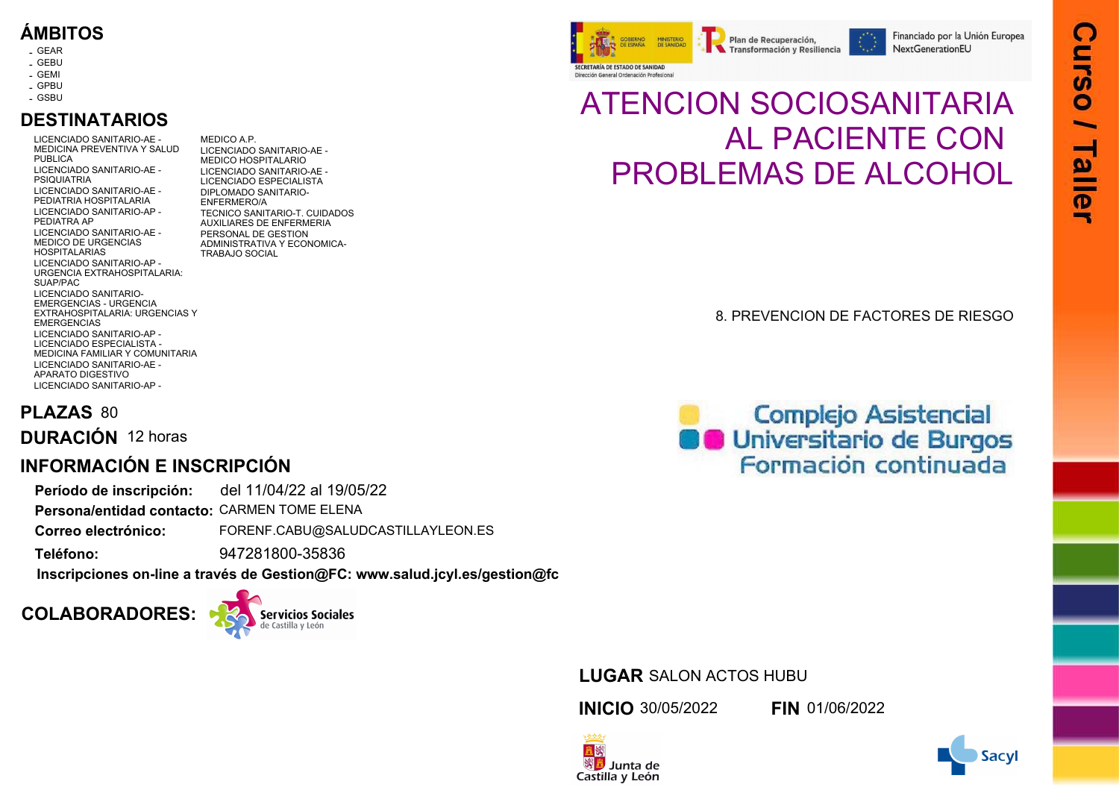# **ÁMBITOS**

- GEAR -
- GEBU -
- 
- GEMI -
- GPBU GSBU -

# **DESTINATARIOS**

LICENCIADO SANITARIO-AE - - MEDICINA PREVENTIVA Y SALUD PUBLICA LICENCIADO SANITARIO-AE - - PSIQUIATRIA LICENCIADO SANITARIO-AE - - PEDIATRIA HOSPITALARIA LICENCIADO SANITARIO-AP - - PEDIATRA AP LICENCIADO SANITARIO-AE - - MEDICO DE URGENCIAS HOSPITALARIAS LICENCIADO SANITARIO-AP - - URGENCIA EXTRAHOSPITALARIA: SUAP/PAC LICENCIADO SANITARIO-EMERGENCIAS - URGENCIA EXTRAHOSPITALARIA: URGENCIAS Y **EMERGENCIAS** LICENCIADO SANITARIO-AP - - LICENCIADO ESPECIALISTA - MEDICINA FAMILIAR Y COMUNITARIA LICENCIADO SANITARIO-AE - - APARATO DIGESTIVO LICENCIADO SANITARIO-AP - -

MEDICO A.P. LICENCIADO SANITARIO-AE - - MEDICO HOSPITALARIO LICENCIADO SANITARIO-AE - - LICENCIADO ESPECIALISTA DIPLOMADO SANITARIO-- ENFERMERO/A TECNICO SANITARIO-T. CUIDADOS AUXILIARES DE ENFERMERIA PERSONAL DE GESTION ADMINISTRATIVA Y ECONOMICA-TRABAJO SOCIAL

SECRETARÍA DE ESTADO DE SANIDAD Dirección General Ordenación Profesional

# ATENCION SOCIOSANITARIA AL PACIENTE CON PROBLEMAS DE ALCOHOL

Plan de Recuperación.

Transformación y Resiliencia

### 8. PREVENCION DE FACTORES DE RIESGO

# **PLAZAS** 80

**DURACIÓN** 12 horas

# **INFORMACIÓN E INSCRIPCIÓN**

**Período de inscripción:** del 11/04/22 al 19/05/22

Persona/entidad contacto: CARMEN TOME ELENA

FORENF.CABU@SALUDCASTILLAYLEON.ES **Correo electrónico:**

947281800-35836 **Teléfono:**

**[Inscripciones on-line a través de Gestion@FC: www.salud.jcyl.es/gestion@fc](http://servicios.jcyl.es/fosa/)**

# **COLABORADORES:**



# **Complejo Asistencial C** Universitario de Burgos Formación continuada

## **LUGAR** SALON ACTOS HUBU

**INICIO** 30/05/2022 **FIN** 01/06/2022

经外交收入 置数

※<mark>遇</mark> Junta de Castilla y León



 $\blacksquare$ 

Financiado por la Unión Europea

NextGenerationEU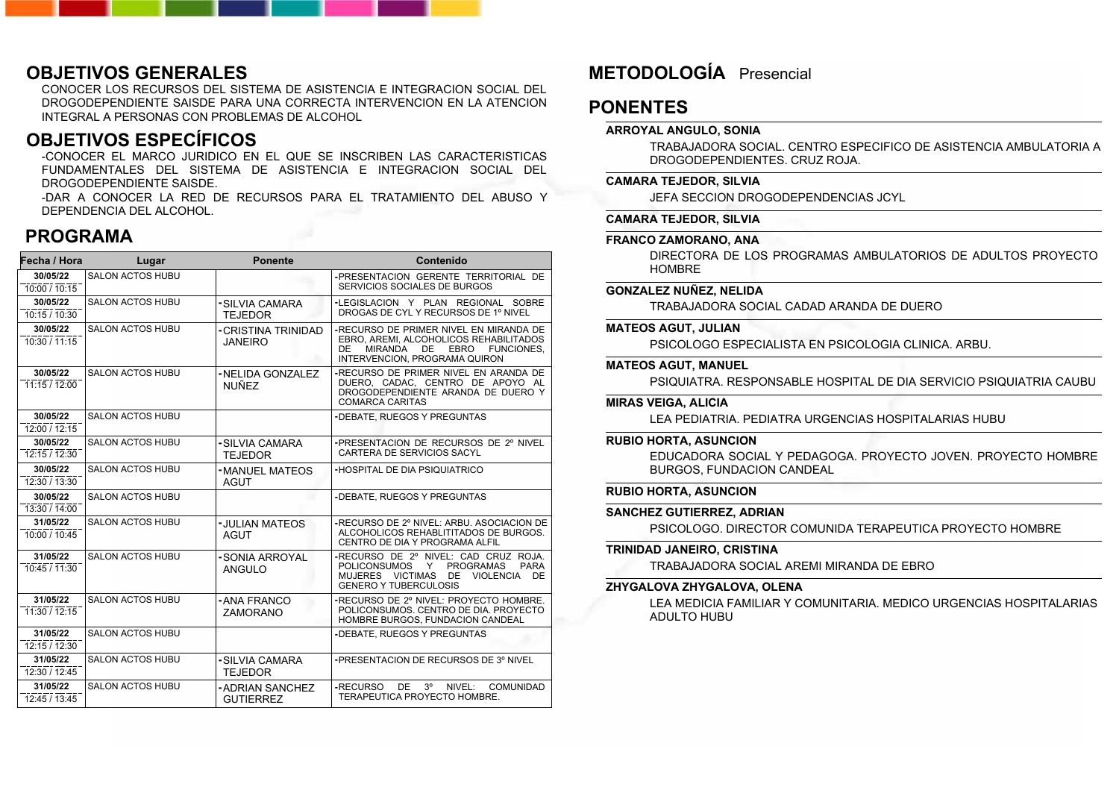### **OBJETIVOS GENERALES**

CONOCER LOS RECURSOS DEL SISTEMA DE ASISTENCIA E INTEGRACION SOCIAL DEL DROGODEPENDIENTE SAISDE PARA UNA CORRECTA INTERVENCION EN LA ATENCION INTEGRAL A PERSONAS CON PROBLEMAS DE ALCOHOL

### **OBJETIVOS ESPECÍFICOS**

-CONOCER EL MARCO JURIDICO EN EL QUE SE INSCRIBEN LAS CARACTERISTICAS FUNDAMENTALES DEL SISTEMA DE ASISTENCIA E INTEGRACION SOCIAL DEL DROGODEPENDIENTE SAISDE.

-DAR A CONOCER LA RED DE RECURSOS PARA EL TRATAMIENTO DEL ABUSO Y DEPENDENCIA DEL ALCOHOL.

### **PROGRAMA**

| Fecha / Hora              | Lugar                   | <b>Ponente</b>                       | Contenido                                                                                                                                                                     |
|---------------------------|-------------------------|--------------------------------------|-------------------------------------------------------------------------------------------------------------------------------------------------------------------------------|
| 30/05/22<br>10:00 / 10:15 | <b>SALON ACTOS HUBU</b> |                                      | -PRESENTACION GERENTE TERRITORIAL DE<br>SERVICIOS SOCIALES DE BURGOS                                                                                                          |
| 30/05/22<br>10:15 / 10:30 | <b>SALON ACTOS HUBU</b> | -SILVIA CAMARA<br><b>TEJEDOR</b>     | -LEGISLACION Y PLAN REGIONAL SOBRE<br>DROGAS DE CYL Y RECURSOS DE 1º NIVEL                                                                                                    |
| 30/05/22<br>10:30 / 11:15 | <b>SALON ACTOS HUBU</b> | -CRISTINA TRINIDAD<br><b>JANEIRO</b> | -RECURSO DE PRIMER NIVEL EN MIRANDA DE<br>EBRO, AREMI, ALCOHOLICOS REHABILITADOS<br><b>MIRANDA</b><br>DE<br><b>EBRO</b><br>FUNCIONES.<br>DE.<br>INTERVENCION, PROGRAMA QUIRON |
| 30/05/22<br>11:15/12:00   | <b>SALON ACTOS HUBU</b> | -NELIDA GONZALEZ<br><b>NUÑEZ</b>     | -RECURSO DE PRIMER NIVEL EN ARANDA DE<br>DUERO, CADAC, CENTRO DE APOYO AL<br>DROGODEPENDIENTE ARANDA DE DUERO Y<br><b>COMARCA CARITAS</b>                                     |
| 30/05/22<br>12:00 / 12:15 | <b>SALON ACTOS HUBU</b> |                                      | -DEBATE, RUEGOS Y PREGUNTAS                                                                                                                                                   |
| 30/05/22<br>12:15 / 12:30 | <b>SALON ACTOS HUBU</b> | -SILVIA CAMARA<br><b>TEJEDOR</b>     | -PRESENTACION DE RECURSOS DE 2º NIVEL<br>CARTERA DE SERVICIOS SACYL                                                                                                           |
| 30/05/22<br>12:30 / 13:30 | <b>SALON ACTOS HUBU</b> | -MANUEL MATEOS<br>AGUT               | -HOSPITAL DE DIA PSIQUIATRICO                                                                                                                                                 |
| 30/05/22<br>13:30/14:00   | <b>SALON ACTOS HUBU</b> |                                      | -DEBATE, RUEGOS Y PREGUNTAS                                                                                                                                                   |
| 31/05/22<br>10:00 / 10:45 | <b>SALON ACTOS HUBU</b> | -JULIAN MATEOS<br><b>AGUT</b>        | -RECURSO DE 2º NIVEL: ARBU, ASOCIACION DE<br>ALCOHOLICOS REHABLITITADOS DE BURGOS.<br>CENTRO DE DIA Y PROGRAMA ALFIL                                                          |
| 31/05/22<br>10:45/11:30   | <b>SALON ACTOS HUBU</b> | -SONIA ARROYAL<br>ANGULO             | -RECURSO DE 2º NIVEL: CAD CRUZ ROJA.<br>POLICONSUMOS Y<br><b>PROGRAMAS</b><br><b>PARA</b><br>MUJERES VICTIMAS DE VIOLENCIA<br>DE<br><b>GENERO Y TUBERCULOSIS</b>              |
| 31/05/22<br>11:30/12:15   | <b>SALON ACTOS HUBU</b> | - ANA FRANCO<br>ZAMORANO             | -RECURSO DE 2º NIVEL: PROYECTO HOMBRE.<br>POLICONSUMOS, CENTRO DE DIA, PROYECTO<br>HOMBRE BURGOS, FUNDACION CANDEAL                                                           |
| 31/05/22<br>12:15 / 12:30 | <b>SALON ACTOS HUBU</b> |                                      | -DEBATE, RUEGOS Y PREGUNTAS                                                                                                                                                   |
| 31/05/22<br>12:30 / 12:45 | <b>SALON ACTOS HUBU</b> | -SILVIA CAMARA<br><b>TEJEDOR</b>     | -PRESENTACION DE RECURSOS DE 3º NIVEL                                                                                                                                         |
| 31/05/22<br>12:45 / 13:45 | <b>SALON ACTOS HUBU</b> | - ADRIAN SANCHEZ<br><b>GUTIERREZ</b> | DE<br>$3^{\circ}$<br>-RECURSO<br>NIVEL:<br><b>COMUNIDAD</b><br>TERAPEUTICA PROYECTO HOMBRE.                                                                                   |

# **METODOLOGÍA** Presencial

### **PONENTES**

#### **ARROYAL ANGULO, SONIA**

TRABAJADORA SOCIAL. CENTRO ESPECIFICO DE ASISTENCIA AMBULATORIA A DROGODEPENDIENTES. CRUZ ROJA.

#### **CAMARA TEJEDOR, SILVIA**

JEFA SECCION DROGODEPENDENCIAS JCYL

#### **CAMARA TEJEDOR, SILVIA**

#### **FRANCO ZAMORANO, ANA**

DIRECTORA DE LOS PROGRAMAS AMBULATORIOS DE ADULTOS PROYECTO HOMBRE

#### **GONZALEZ NUÑEZ, NELIDA**

TRABAJADORA SOCIAL CADAD ARANDA DE DUERO

#### **MATEOS AGUT, JULIAN**

PSICOLOGO ESPECIALISTA EN PSICOLOGIA CLINICA. ARBU.

#### **MATEOS AGUT, MANUEL**

PSIQUIATRA. RESPONSABLE HOSPITAL DE DIA SERVICIO PSIQUIATRIA CAUBU

#### **MIRAS VEIGA, ALICIA**

LEA PEDIATRIA. PEDIATRA URGENCIAS HOSPITALARIAS HUBU

#### **RUBIO HORTA, ASUNCION**

EDUCADORA SOCIAL Y PEDAGOGA. PROYECTO JOVEN. PROYECTO HOMBRE BURGOS, FUNDACION CANDEAL

#### **RUBIO HORTA, ASUNCION**

#### **SANCHEZ GUTIERREZ, ADRIAN**

PSICOLOGO. DIRECTOR COMUNIDA TERAPEUTICA PROYECTO HOMBRE

#### **TRINIDAD JANEIRO, CRISTINA**

TRABAJADORA SOCIAL AREMI MIRANDA DE EBRO

#### **ZHYGALOVA ZHYGALOVA, OLENA**

LEA MEDICIA FAMILIAR Y COMUNITARIA. MEDICO URGENCIAS HOSPITALARIAS ADULTO HUBU